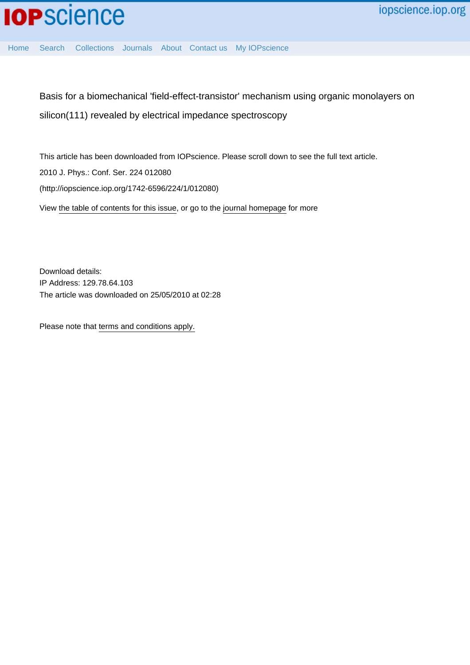

[Home](http://iopscience.iop.org/) [Search](http://iopscience.iop.org/search) [Collections](http://iopscience.iop.org/collections) [Journals](http://iopscience.iop.org/journals) [About](http://iopscience.iop.org/page/aboutioppublishing) [Contact us](http://iopscience.iop.org/contact) [My IOPscience](http://iopscience.iop.org/myiopscience)

Basis for a biomechanical 'field-effect-transistor' mechanism using organic monolayers on silicon(111) revealed by electrical impedance spectroscopy

This article has been downloaded from IOPscience. Please scroll down to see the full text article. 2010 J. Phys.: Conf. Ser. 224 012080 (http://iopscience.iop.org/1742-6596/224/1/012080) View [the table of contents for this issue](http://iopscience.iop.org/1742-6596/224/1), or go to the [journal homepage](http://iopscience.iop.org/1742-6596) for more

Download details: IP Address: 129.78.64.103 The article was downloaded on 25/05/2010 at 02:28

Please note that [terms and conditions apply.](http://iopscience.iop.org/page/terms)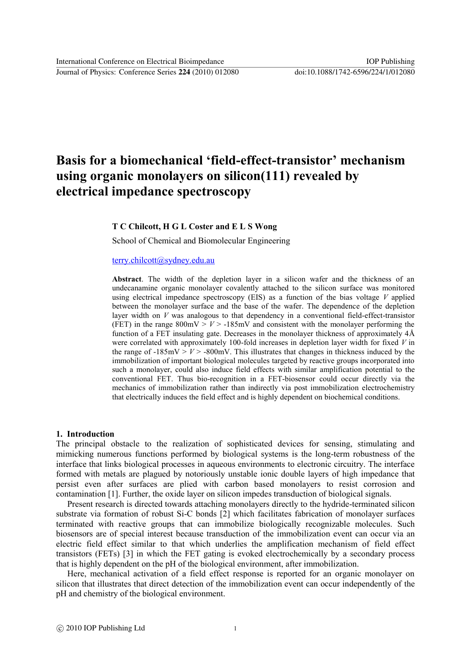Journal of Physics: Conference Series **224** (2010) 012080 doi:10.1088/1742-6596/224/1/012080

# **Basis for a biomechanical 'field-effect-transistor' mechanism using organic monolayers on silicon(111) revealed by electrical impedance spectroscopy**

#### **T C Chilcott, H G L Coster and E L S Wong**

School of Chemical and Biomolecular Engineering

## [terry.chilcott@sydney.edu.au](mailto:terry.chilcott@sydney.edu.au)

**Abstract**. The width of the depletion layer in a silicon wafer and the thickness of an undecanamine organic monolayer covalently attached to the silicon surface was monitored using electrical impedance spectroscopy (EIS) as a function of the bias voltage *V* applied between the monolayer surface and the base of the wafer. The dependence of the depletion layer width on *V* was analogous to that dependency in a conventional field-effect-transistor (FET) in the range  $800 \text{mV} > V > -185 \text{mV}$  and consistent with the monolayer performing the function of a FET insulating gate. Decreases in the monolayer thickness of approximately 4Å were correlated with approximately 100-fold increases in depletion layer width for fixed *V* in the range of  $-185 \text{mV} > V > -800 \text{mV}$ . This illustrates that changes in thickness induced by the immobilization of important biological molecules targeted by reactive groups incorporated into such a monolayer, could also induce field effects with similar amplification potential to the conventional FET. Thus bio-recognition in a FET-biosensor could occur directly via the mechanics of immobilization rather than indirectly via post immobilization electrochemistry that electrically induces the field effect and is highly dependent on biochemical conditions.

#### **1. Introduction**

The principal obstacle to the realization of sophisticated devices for sensing, stimulating and mimicking numerous functions performed by biological systems is the long-term robustness of the interface that links biological processes in aqueous environments to electronic circuitry. The interface formed with metals are plagued by notoriously unstable ionic double layers of high impedance that persist even after surfaces are plied with carbon based monolayers to resist corrosion and contamination [1]. Further, the oxide layer on silicon impedes transduction of biological signals.

Present research is directed towards attaching monolayers directly to the hydride-terminated silicon substrate via formation of robust Si-C bonds [2] which facilitates fabrication of monolayer surfaces terminated with reactive groups that can immobilize biologically recognizable molecules. Such biosensors are of special interest because transduction of the immobilization event can occur via an electric field effect similar to that which underlies the amplification mechanism of field effect transistors (FETs) [3] in which the FET gating is evoked electrochemically by a secondary process that is highly dependent on the pH of the biological environment, after immobilization.

Here, mechanical activation of a field effect response is reported for an organic monolayer on silicon that illustrates that direct detection of the immobilization event can occur independently of the pH and chemistry of the biological environment.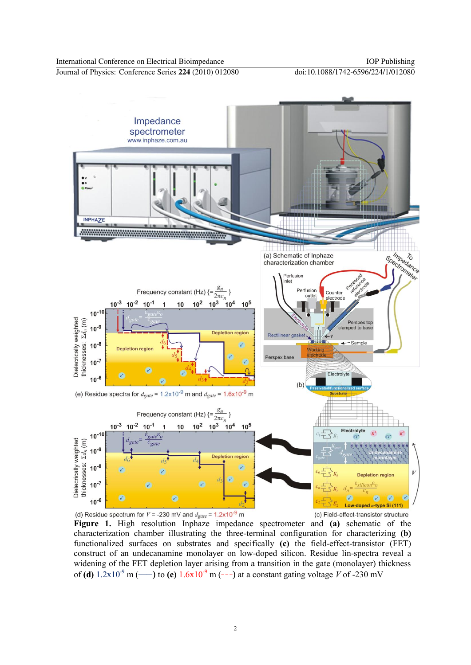Journal of Physics: Conference Series **224** (2010) 012080 doi:10.1088/1742-6596/224/1/012080



**Figure 1.** High resolution Inphaze impedance spectrometer and **(a)** schematic of the characterization chamber illustrating the three-terminal configuration for characterizing **(b)** functionalized surfaces on substrates and specifically **(c)** the field-effect-transistor (FET) construct of an undecanamine monolayer on low-doped silicon. Residue lin-spectra reveal a widening of the FET depletion layer arising from a transition in the gate (monolayer) thickness of **(d)**  $1.2x10^{-9}$  m (-e) to **(e)**  $1.6x10^{-9}$  m (---) at a constant gating voltage *V* of -230 mV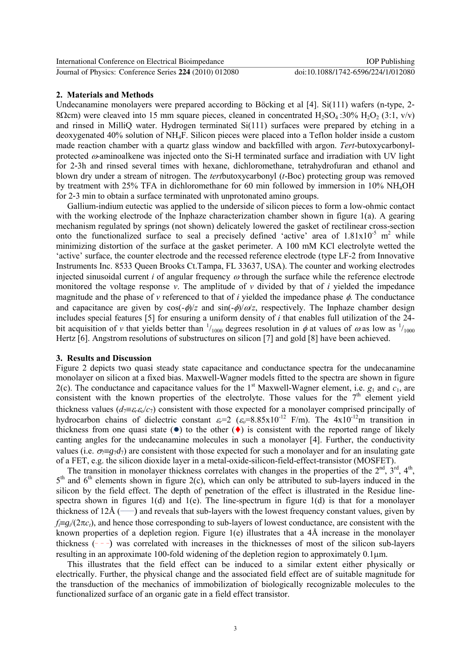Journal of Physics: Conference Series **224** (2010) 012080 doi:10.1088/1742-6596/224/1/012080

### **2. Materials and Methods**

Undecanamine monolayers were prepared according to Böcking et al [4]. Si(111) wafers (n-type, 2- 8 $\Omega$ cm) were cleaved into 15 mm square pieces, cleaned in concentrated H<sub>2</sub>SO<sub>4</sub> :30% H<sub>2</sub>O<sub>2</sub> (3:1, v/v) and rinsed in MilliQ water. Hydrogen terminated Si(111) surfaces were prepared by etching in a deoxygenated 40% solution of NH4F. Silicon pieces were placed into a Teflon holder inside a custom made reaction chamber with a quartz glass window and backfilled with argon. *Tert*-butoxycarbonylprotected  $\omega$ -aminoalkene was injected onto the Si-H terminated surface and irradiation with UV light for 2-3h and rinsed several times with hexane, dichloromethane, tetrahydrofuran and ethanol and blown dry under a stream of nitrogen. The *tert*butoxycarbonyl (*t*-Boc) protecting group was removed by treatment with 25% TFA in dichloromethane for 60 min followed by immersion in 10% NH4OH for 2-3 min to obtain a surface terminated with unprotonated amino groups.

Gallium-indium eutectic was applied to the underside of silicon pieces to form a low-ohmic contact with the working electrode of the Inphaze characterization chamber shown in figure 1(a). A gearing mechanism regulated by springs (not shown) delicately lowered the gasket of rectilinear cross-section onto the functionalized surface to seal a precisely defined 'active' area of  $1.81 \times 10^{-5}$  m<sup>2</sup> while minimizing distortion of the surface at the gasket perimeter. A 100 mM KCl electrolyte wetted the 'active' surface, the counter electrode and the recessed reference electrode (type LF-2 from Innovative Instruments Inc. 8533 Queen Brooks Ct.Tampa, FL 33637, USA). The counter and working electrodes injected sinusoidal current  $i$  of angular frequency  $\omega$  through the surface while the reference electrode monitored the voltage response  $v$ . The amplitude of  $v$  divided by that of  $i$  yielded the impedance magnitude and the phase of  $\nu$  referenced to that of  $i$  yielded the impedance phase  $\phi$ . The conductance and capacitance are given by  $\cos(-\phi)/z$  and  $\sin(-\phi)/\omega/z$ , respectively. The Inphaze chamber design includes special features [5] for ensuring a uniform density of *i* that enables full utilization of the 24 bit acquisition of *v* that yields better than  $\frac{1}{1000}$  degrees resolution in  $\phi$  at values of  $\omega$  as low as  $\frac{1}{1000}$ Hertz [6]. Angstrom resolutions of substructures on silicon [7] and gold [8] have been achieved.

### **3. Results and Discussion**

Figure 2 depicts two quasi steady state capacitance and conductance spectra for the undecanamine monolayer on silicon at a fixed bias. Maxwell-Wagner models fitted to the spectra are shown in figure 2(c). The conductance and capacitance values for the 1<sup>st</sup> Maxwell-Wagner element, i.e.  $g_1$  and  $c_1$ , are consistent with the known properties of the electrolyte. Those values for the  $7<sup>th</sup>$  element yield thickness values ( $d_7 \equiv \varepsilon_r \varepsilon_o/c_7$ ) consistent with those expected for a monolayer comprised principally of hydrocarbon chains of dielectric constant  $\varepsilon = 2$  ( $\varepsilon = 8.85 \times 10^{-12}$  F/m). The  $4 \times 10^{-12}$ m transition in thickness from one quasi state  $(\bullet)$  to the other  $(\bullet)$  is consistent with the reported range of likely canting angles for the undecanamine molecules in such a monolayer [4]. Further, the conductivity values (i.e.  $\sigma_{\overline{r}} = g_7 d_7$ ) are consistent with those expected for such a monolayer and for an insulating gate of a FET, e.g. the silicon dioxide layer in a metal-oxide-silicon-field-effect-transistor (MOSFET).

The transition in monolayer thickness correlates with changes in the properties of the  $2<sup>nd</sup>$ ,  $3<sup>rd</sup>$ ,  $4<sup>th</sup>$ ,  $5<sup>th</sup>$  and  $6<sup>th</sup>$  elements shown in figure 2(c), which can only be attributed to sub-layers induced in the silicon by the field effect. The depth of penetration of the effect is illustrated in the Residue linespectra shown in figures  $1(d)$  and  $1(e)$ . The line-spectrum in figure  $1(d)$  is that for a monolayer thickness of  $12\text{\AA}$  ( $\longrightarrow$ ) and reveals that sub-layers with the lowest frequency constant values, given by  $f_i = g_i/(2\pi c_t)$ , and hence those corresponding to sub-layers of lowest conductance, are consistent with the known properties of a depletion region. Figure 1(e) illustrates that a 4Å increase in the monolayer thickness  $(- - )$  was correlated with increases in the thicknesses of most of the silicon sub-layers resulting in an approximate 100-fold widening of the depletion region to approximately  $0.1 \mu m$ .

This illustrates that the field effect can be induced to a similar extent either physically or electrically. Further, the physical change and the associated field effect are of suitable magnitude for the transduction of the mechanics of immobilization of biologically recognizable molecules to the functionalized surface of an organic gate in a field effect transistor.